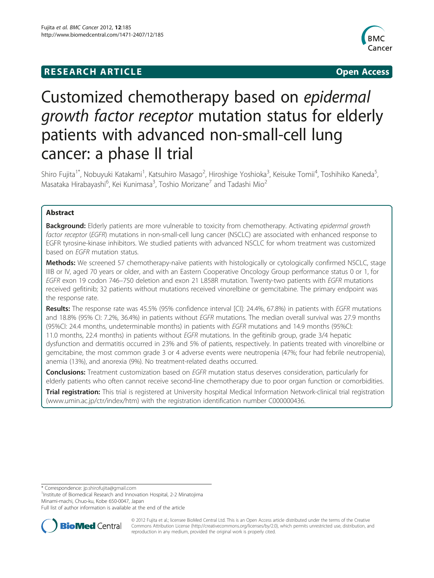# **RESEARCH ARTICLE CONSUMING A RESEARCH ARTICLE**



# Customized chemotherapy based on epidermal growth factor receptor mutation status for elderly patients with advanced non-small-cell lung cancer: a phase II trial

Shiro Fujita<sup>1\*</sup>, Nobuyuki Katakami<sup>1</sup>, Katsuhiro Masago<sup>2</sup>, Hiroshige Yoshioka<sup>3</sup>, Keisuke Tomii<sup>4</sup>, Toshihiko Kaneda<sup>5</sup> , Masataka Hirabayashi<sup>6</sup>, Kei Kunimasa<sup>3</sup>, Toshio Morizane<sup>7</sup> and Tadashi Mio<sup>2</sup>

# Abstract

Background: Elderly patients are more vulnerable to toxicity from chemotherapy. Activating epidermal growth factor receptor (EGFR) mutations in non-small-cell lung cancer (NSCLC) are associated with enhanced response to EGFR tyrosine-kinase inhibitors. We studied patients with advanced NSCLC for whom treatment was customized based on EGFR mutation status.

Methods: We screened 57 chemotherapy-naïve patients with histologically or cytologically confirmed NSCLC, stage IIIB or IV, aged 70 years or older, and with an Eastern Cooperative Oncology Group performance status 0 or 1, for EGFR exon 19 codon 746–750 deletion and exon 21 L858R mutation. Twenty-two patients with EGFR mutations received gefitinib; 32 patients without mutations received vinorelbine or gemcitabine. The primary endpoint was the response rate.

Results: The response rate was 45.5% (95% confidence interval [CI]: 24.4%, 67.8%) in patients with EGFR mutations and 18.8% (95% CI: 7.2%, 36.4%) in patients without EGFR mutations. The median overall survival was 27.9 months (95%CI: 24.4 months, undeterminable months) in patients with EGFR mutations and 14.9 months (95%CI: 11.0 months, 22.4 months) in patients without *EGFR* mutations. In the gefitinib group, grade 3/4 hepatic dysfunction and dermatitis occurred in 23% and 5% of patients, respectively. In patients treated with vinorelbine or gemcitabine, the most common grade 3 or 4 adverse events were neutropenia (47%; four had febrile neutropenia), anemia (13%), and anorexia (9%). No treatment-related deaths occurred.

**Conclusions:** Treatment customization based on EGFR mutation status deserves consideration, particularly for elderly patients who often cannot receive second-line chemotherapy due to poor organ function or comorbidities.

Trial registration: This trial is registered at University hospital Medical Information Network-clinical trial registration ([www.umin.ac.jp/ctr/index/htm\)](http://www.umin.ac.jp/ctr/index/htm) with the registration identification number C000000436.

\* Correspondence: [jp.shirofujita@gmail.com](mailto:jp.shirofujita@gmail.com) <sup>1</sup>

<sup>1</sup> Institute of Biomedical Research and Innovation Hospital, 2-2 Minatojima Minami-machi, Chuo-ku, Kobe 650-0047, Japan

Full list of author information is available at the end of the article



© 2012 Fujita et al.; licensee BioMed Central Ltd. This is an Open Access article distributed under the terms of the Creative Commons Attribution License [\(http://creativecommons.org/licenses/by/2.0\)](http://creativecommons.org/licenses/by/2.0), which permits unrestricted use, distribution, and reproduction in any medium, provided the original work is properly cited.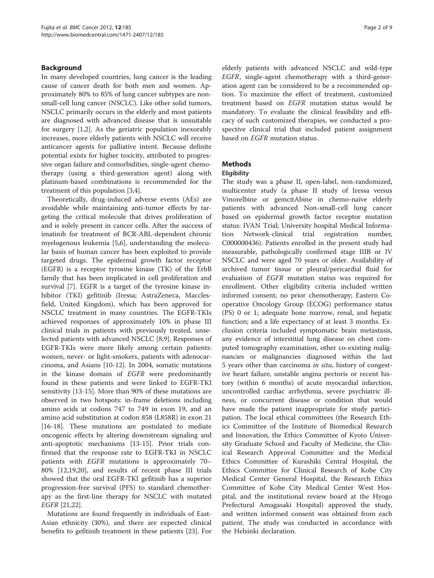# Background

In many developed countries, lung cancer is the leading cause of cancer death for both men and women. Approximately 80% to 85% of lung cancer subtypes are nonsmall-cell lung cancer (NSCLC). Like other solid tumors, NSCLC primarily occurs in the elderly and most patients are diagnosed with advanced disease that is unsuitable for surgery [\[1](#page-7-0),[2](#page-7-0)]. As the geriatric population inexorably increases, more elderly patients with NSCLC will receive anticancer agents for palliative intent. Because definite potential exists for higher toxicity, attributed to progressive organ failure and comorbidities, single-agent chemotherapy (using a third-generation agent) along with platinum-based combinations is recommended for the treatment of this population [\[3,4](#page-7-0)].

Theoretically, drug-induced adverse events (AEs) are avoidable while maintaining anti-tumor effects by targeting the critical molecule that drives proliferation of and is solely present in cancer cells. After the success of imatinib for treatment of BCR-ABL-dependent chronic myelogenous leukemia [\[5](#page-7-0)[,6](#page-8-0)], understanding the molecular basis of human cancer has been exploited to provide targeted drugs. The epidermal growth factor receptor (EGFR) is a receptor tyrosine kinase (TK) of the ErbB family that has been implicated in cell proliferation and survival [\[7](#page-8-0)]. EGFR is a target of the tyrosine kinase inhibitor (TKI) gefitinib (Iressa; AstraZeneca, Macclesfield, United Kingdom), which has been approved for NSCLC treatment in many countries. The EGFR-TKIs achieved responses of approximately 10% in phase III clinical trials in patients with previously treated, unselected patients with advanced NSCLC [[8,9\]](#page-8-0). Responses of EGFR-TKIs were more likely among certain patients: women, never- or light-smokers, patients with adenocarcinoma, and Asians [[10-12](#page-8-0)]. In 2004, somatic mutations in the kinase domain of EGFR were predominantly found in these patients and were linked to EGFR-TKI sensitivity [[13-15](#page-8-0)]. More than 90% of these mutations are observed in two hotspots: in-frame deletions including amino acids at codons 747 to 749 in exon 19, and an amino acid substitution at codon 858 (L858R) in exon 21 [[16-18](#page-8-0)]. These mutations are postulated to mediate oncogenic effects by altering downstream signaling and anti-apoptotic mechanisms [[13-15](#page-8-0)]. Prior trials confirmed that the response rate to EGFR-TKI in NSCLC patients with EGFR mutations is approximately 70– 80% [\[12,19,20\]](#page-8-0), and results of recent phase III trials showed that the oral EGFR-TKI gefitinib has a superior progression-free survival (PFS) to standard chemotherapy as the first-line therapy for NSCLC with mutated EGFR [\[21,22\]](#page-8-0).

Mutations are found frequently in individuals of East-Asian ethnicity (30%), and there are expected clinical benefits to gefitinib treatment in these patients [\[23\]](#page-8-0). For

elderly patients with advanced NSCLC and wild-type EGFR, single-agent chemotherapy with a third-generation agent can be considered to be a recommended option. To maximize the effect of treatment, customized treatment based on EGFR mutation status would be mandatory. To evaluate the clinical feasibility and efficacy of such customized therapies, we conducted a prospective clinical trial that included patient assignment based on EGFR mutation status.

# **Methods**

# **Eligibility**

The study was a phase II, open-label, non-randomized, multicenter study (a phase II study of Iressa versus Vinorelbine or gemcitAbine in chemo-naïve elderly patients with advanced Non-small-cell lung cancer based on epidermal growth factor receptor mutation status: IVAN Trial; University hospital Medical Information Network-clinical trial registration number, C000000436). Patients enrolled in the present study had measurable, pathologically confirmed stage IIIB or IV NSCLC and were aged 70 years or older. Availability of archived tumor tissue or pleural/pericardial fluid for evaluation of EGFR mutation status was required for enrollment. Other eligibility criteria included written informed consent; no prior chemotherapy; Eastern Cooperative Oncology Group (ECOG) performance status (PS) 0 or 1; adequate bone marrow, renal, and hepatic function; and a life expectancy of at least 3 months. Exclusion criteria included symptomatic brain metastasis, any evidence of interstitial lung disease on chest computed tomography examination, other co-existing malignancies or malignancies diagnosed within the last 5 years other than carcinoma in situ, history of congestive heart failure, unstable angina pectoris or recent history (within 6 months) of acute myocardial infarction, uncontrolled cardiac arrhythmia, severe psychiatric illness, or concurrent disease or condition that would have made the patient inappropriate for study participation. The local ethical committees (the Research Ethics Committee of the Institute of Biomedical Research and Innovation, the Ethics Committee of Kyoto University Graduate School and Faculty of Medicine, the Clinical Research Approval Committee and the Medical Ethics Committee of Kurashiki Central Hospital, the Ethics Committee for Clinical Research of Kobe City Medical Center General Hospital, the Research Ethics Committee of Kobe City Medical Center West Hospital, and the institutional review board at the Hyogo Prefectural Amagasaki Hospital) approved the study, and written informed consent was obtained from each patient. The study was conducted in accordance with the Helsinki declaration.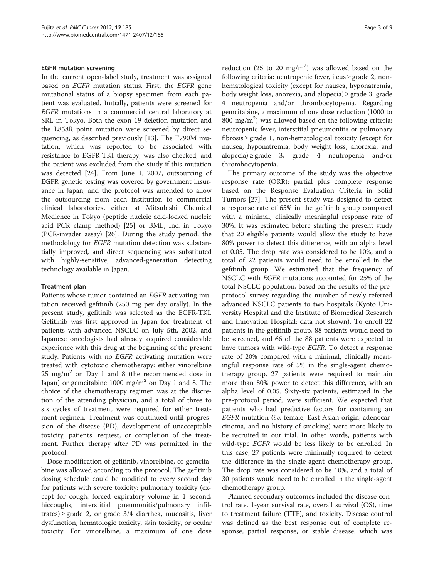#### EGFR mutation screening

In the current open-label study, treatment was assigned based on EGFR mutation status. First, the EGFR gene mutational status of a biopsy specimen from each patient was evaluated. Initially, patients were screened for EGFR mutations in a commercial central laboratory at SRL in Tokyo. Both the exon 19 deletion mutation and the L858R point mutation were screened by direct sequencing, as described previously [\[13\]](#page-8-0). The T790M mutation, which was reported to be associated with resistance to EGFR-TKI therapy, was also checked, and the patient was excluded from the study if this mutation was detected [[24](#page-8-0)]. From June 1, 2007, outsourcing of EGFR genetic testing was covered by government insurance in Japan, and the protocol was amended to allow the outsourcing from each institution to commercial clinical laboratories, either at Mitsubishi Chemical Medience in Tokyo (peptide nucleic acid-locked nucleic acid PCR clamp method) [[25\]](#page-8-0) or BML, Inc. in Tokyo (PCR-invader assay) [[26\]](#page-8-0). During the study period, the methodology for EGFR mutation detection was substantially improved, and direct sequencing was substituted with highly-sensitive, advanced-generation detecting technology available in Japan.

#### Treatment plan

Patients whose tumor contained an EGFR activating mutation received gefitinib (250 mg per day orally). In the present study, gefitinib was selected as the EGFR-TKI. Gefitinib was first approved in Japan for treatment of patients with advanced NSCLC on July 5th, 2002, and Japanese oncologists had already acquired considerable experience with this drug at the beginning of the present study. Patients with no EGFR activating mutation were treated with cytotoxic chemotherapy: either vinorelbine  $25 \text{ mg/m}^2$  on Day 1 and 8 (the recommended dose in Japan) or gemcitabine 1000 mg/m<sup>2</sup> on Day 1 and 8. The choice of the chemotherapy regimen was at the discretion of the attending physician, and a total of three to six cycles of treatment were required for either treatment regimen. Treatment was continued until progression of the disease (PD), development of unacceptable toxicity, patients' request, or completion of the treatment. Further therapy after PD was permitted in the protocol.

Dose modification of gefitinib, vinorelbine, or gemcitabine was allowed according to the protocol. The gefitinib dosing schedule could be modified to every second day for patients with severe toxicity: pulmonary toxicity (except for cough, forced expiratory volume in 1 second, hiccoughs, interstitial pneumonitis/pulmonary infiltrates)  $\geq$  grade 2, or grade 3/4 diarrhea, mucositis, liver dysfunction, hematologic toxicity, skin toxicity, or ocular toxicity. For vinorelbine, a maximum of one dose

reduction (25 to 20 mg/m<sup>2</sup>) was allowed based on the following criteria: neutropenic fever, ileus ≥ grade 2, nonhematological toxicity (except for nausea, hyponatremia, body weight loss, anorexia, and alopecia) ≥ grade 3, grade 4 neutropenia and/or thrombocytopenia. Regarding gemcitabine, a maximum of one dose reduction (1000 to  $800 \text{ mg/m}^2$ ) was allowed based on the following criteria: neutropenic fever, interstitial pneumonitis or pulmonary fibrosis ≥ grade 1, non-hematological toxicity (except for nausea, hyponatremia, body weight loss, anorexia, and alopecia) ≥ grade 3, grade 4 neutropenia and/or thrombocytopenia.

The primary outcome of the study was the objective response rate (ORR): partial plus complete response based on the Response Evaluation Criteria in Solid Tumors [\[27](#page-8-0)]. The present study was designed to detect a response rate of 65% in the gefitinib group compared with a minimal, clinically meaningful response rate of 30%. It was estimated before starting the present study that 20 eligible patients would allow the study to have 80% power to detect this difference, with an alpha level of 0.05. The drop rate was considered to be 10%, and a total of 22 patients would need to be enrolled in the gefitinib group. We estimated that the frequency of NSCLC with EGFR mutations accounted for 25% of the total NSCLC population, based on the results of the preprotocol survey regarding the number of newly referred advanced NSCLC patients to two hospitals (Kyoto University Hospital and the Institute of Biomedical Research and Innovation Hospital; data not shown). To enroll 22 patients in the gefitinib group, 88 patients would need to be screened, and 66 of the 88 patients were expected to have tumors with wild-type EGFR. To detect a response rate of 20% compared with a minimal, clinically meaningful response rate of 5% in the single-agent chemotherapy group, 27 patients were required to maintain more than 80% power to detect this difference, with an alpha level of 0.05. Sixty-six patients, estimated in the pre-protocol period, were sufficient. We expected that patients who had predictive factors for containing an EGFR mutation (i.e. female, East-Asian origin, adenocarcinoma, and no history of smoking) were more likely to be recruited in our trial. In other words, patients with wild-type *EGFR* would be less likely to be enrolled. In this case, 27 patients were minimally required to detect the difference in the single-agent chemotherapy group. The drop rate was considered to be 10%, and a total of 30 patients would need to be enrolled in the single-agent chemotherapy group.

Planned secondary outcomes included the disease control rate, 1-year survival rate, overall survival (OS), time to treatment failure (TTF), and toxicity. Disease control was defined as the best response out of complete response, partial response, or stable disease, which was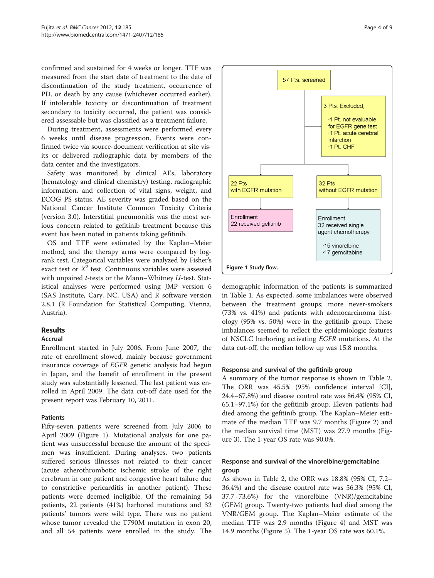confirmed and sustained for 4 weeks or longer. TTF was measured from the start date of treatment to the date of discontinuation of the study treatment, occurrence of PD, or death by any cause (whichever occurred earlier). If intolerable toxicity or discontinuation of treatment secondary to toxicity occurred, the patient was considered assessable but was classified as a treatment failure.

During treatment, assessments were performed every 6 weeks until disease progression. Events were confirmed twice via source-document verification at site visits or delivered radiographic data by members of the data center and the investigators.

Safety was monitored by clinical AEs, laboratory (hematology and clinical chemistry) testing, radiographic information, and collection of vital signs, weight, and ECOG PS status. AE severity was graded based on the National Cancer Institute Common Toxicity Criteria (version 3.0). Interstitial pneumonitis was the most serious concern related to gefitinib treatment because this event has been noted in patients taking gefitinib.

OS and TTF were estimated by the Kaplan–Meier method, and the therapy arms were compared by logrank test. Categorical variables were analyzed by Fisher's exact test or  $X^2$  test. Continuous variables were assessed with unpaired  $t$ -tests or the Mann–Whitney  $U$ -test. Statistical analyses were performed using JMP version 6 (SAS Institute, Cary, NC, USA) and R software version 2.8.1 (R Foundation for Statistical Computing, Vienna, Austria).

# Results

# Accrual

Enrollment started in July 2006. From June 2007, the rate of enrollment slowed, mainly because government insurance coverage of EGFR genetic analysis had begun in Japan, and the benefit of enrollment in the present study was substantially lessened. The last patient was enrolled in April 2009. The data cut-off date used for the present report was February 10, 2011.

#### Patients

Fifty-seven patients were screened from July 2006 to April 2009 (Figure 1). Mutational analysis for one patient was unsuccessful because the amount of the specimen was insufficient. During analyses, two patients suffered serious illnesses not related to their cancer (acute atherothrombotic ischemic stroke of the right cerebrum in one patient and congestive heart failure due to constrictive pericarditis in another patient). These patients were deemed ineligible. Of the remaining 54 patients, 22 patients (41%) harbored mutations and 32 patients' tumors were wild type. There was no patient whose tumor revealed the T790M mutation in exon 20, and all 54 patients were enrolled in the study. The



demographic information of the patients is summarized in Table [1.](#page-4-0) As expected, some imbalances were observed between the treatment groups; more never-smokers (73% vs. 41%) and patients with adenocarcinoma histology (95% vs. 50%) were in the gefitinib group. These imbalances seemed to reflect the epidemiologic features of NSCLC harboring activating EGFR mutations. At the data cut-off, the median follow up was 15.8 months.

#### Response and survival of the gefitinib group

A summary of the tumor response is shown in Table [2](#page-4-0). The ORR was 45.5% (95% confidence interval [CI], 24.4–67.8%) and disease control rate was 86.4% (95% CI, 65.1–97.1%) for the gefitinib group. Eleven patients had died among the gefitinib group. The Kaplan–Meier estimate of the median TTF was 9.7 months (Figure [2\)](#page-4-0) and the median survival time (MST) was 27.9 months (Figure [3\)](#page-4-0). The 1-year OS rate was 90.0%.

# Response and survival of the vinorelbine/gemcitabine group

As shown in Table [2,](#page-4-0) the ORR was 18.8% (95% CI, 7.2– 36.4%) and the disease control rate was 56.3% (95% CI, 37.7–73.6%) for the vinorelbine (VNR)/gemcitabine (GEM) group. Twenty-two patients had died among the VNR/GEM group. The Kaplan–Meier estimate of the median TTF was 2.9 months (Figure [4](#page-5-0)) and MST was 14.9 months (Figure [5](#page-5-0)). The 1-year OS rate was 60.1%.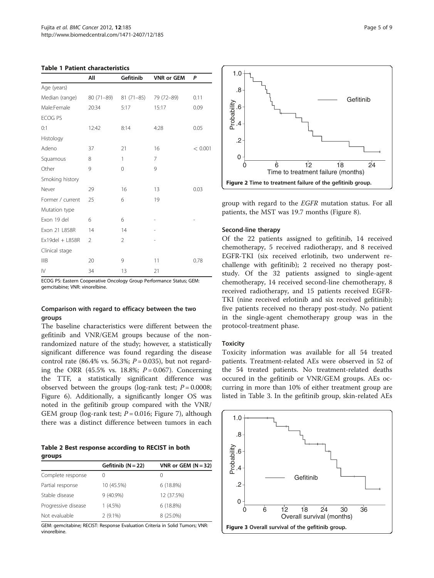<span id="page-4-0"></span>

|                        | All            | Gefitinib      | <b>VNR or GEM</b> | P       |
|------------------------|----------------|----------------|-------------------|---------|
| Age (years)            |                |                |                   |         |
| Median (range)         | 80 (71-89)     | 81 (71-85)     | 79 (72-89)        | 0.11    |
| Male:Female            | 20:34          | 5:17           | 15:17             | 0.09    |
| ECOG PS                |                |                |                   |         |
| 0:1                    | 12:42          | 8:14           | 4:28              | 0.05    |
| Histology              |                |                |                   |         |
| Adeno                  | 37             | 21             | 16                | < 0.001 |
| Squamous               | 8              | 1              | 7                 |         |
| Other                  | 9              | $\mathbf 0$    | 9                 |         |
| Smoking history        |                |                |                   |         |
| Never                  | 29             | 16             | 13                | 0.03    |
| Former / current       | 25             | 6              | 19                |         |
| Mutation type          |                |                |                   |         |
| Exon 19 del            | 6              | 6              |                   |         |
| Exon 21 L858R          | 14             | 14             |                   |         |
| Ex19del + L858R        | $\overline{2}$ | $\overline{2}$ |                   |         |
| Clinical stage         |                |                |                   |         |
| <b>IIIB</b>            | 20             | 9              | 11                | 0.78    |
| $\mathsf{I}\mathsf{V}$ | 34             | 13             | 21                |         |

ECOG PS: Eastern Cooperative Oncology Group Performance Status; GEM: gemcitabine; VNR: vinorelbine.

#### Comparison with regard to efficacy between the two groups

The baseline characteristics were different between the gefitinib and VNR/GEM groups because of the nonrandomized nature of the study; however, a statistically significant difference was found regarding the disease control rate (86.4% vs. 56.3%;  $P = 0.035$ ), but not regarding the ORR (45.5% vs. 18.8%;  $P = 0.067$ ). Concerning the TTF, a statistically significant difference was observed between the groups (log-rank test;  $P = 0.0008$ ; Figure [6\)](#page-5-0). Additionally, a significantly longer OS was noted in the gefitinib group compared with the VNR/ GEM group (log-rank test;  $P = 0.016$ ; Figure [7](#page-5-0)), although there was a distinct difference between tumors in each

Table 2 Best response according to RECIST in both groups

|                     | Gefitinib $(N = 22)$ | VNR or GEM $(N = 32)$ |
|---------------------|----------------------|-----------------------|
| Complete response   | $\left( \right)$     | $\left( \right)$      |
| Partial response    | 10 (45.5%)           | 6(18.8%)              |
| Stable disease      | $9(40.9\%)$          | 12 (37.5%)            |
| Progressive disease | 1(4.5%)              | 6(18.8%)              |
| Not evaluable       | $2(9.1\%)$           | 8 (25.0%)             |

GEM: gemcitabine; RECIST: Response Evaluation Criteria in Solid Tumors; VNR: vinorelbine.



group with regard to the EGFR mutation status. For all patients, the MST was 19.7 months (Figure [8](#page-6-0)).

#### Second-line therapy

Of the 22 patients assigned to gefitinib, 14 received chemotherapy, 5 received radiotherapy, and 8 received EGFR-TKI (six received erlotinib, two underwent rechallenge with gefitinib); 2 received no therapy poststudy. Of the 32 patients assigned to single-agent chemotherapy, 14 received second-line chemotherapy, 8 received radiotherapy, and 15 patients received EGFR-TKI (nine received erlotinib and six received gefitinib); five patients received no therapy post-study. No patient in the single-agent chemotherapy group was in the protocol-treatment phase.

#### **Toxicity**

Toxicity information was available for all 54 treated patients. Treatment-related AEs were observed in 52 of the 54 treated patients. No treatment-related deaths occured in the gefitinib or VNR/GEM groups. AEs occurring in more than 10% of either treatment group are listed in Table [3](#page-6-0). In the gefitinib group, skin-related AEs

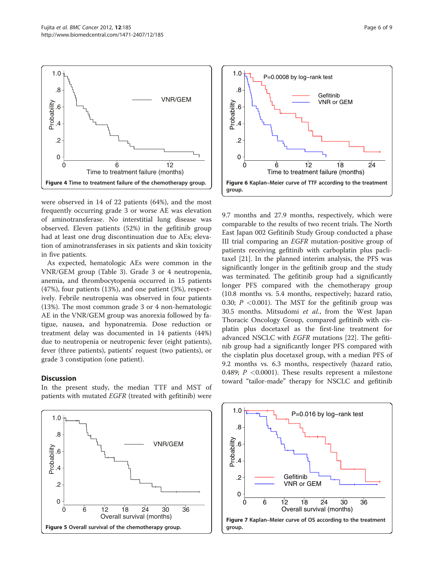<span id="page-5-0"></span>

were observed in 14 of 22 patients (64%), and the most frequently occurring grade 3 or worse AE was elevation of aminotransferase. No interstitial lung disease was observed. Eleven patients (52%) in the gefitinib group had at least one drug discontinuation due to AEs; elevation of aminotransferases in six patients and skin toxicity in five patients.

As expected, hematologic AEs were common in the VNR/GEM group (Table [3](#page-6-0)). Grade 3 or 4 neutropenia, anemia, and thrombocytopenia occurred in 15 patients (47%), four patients (13%), and one patient (3%), respectively. Febrile neutropenia was observed in four patients (13%). The most common grade 3 or 4 non-hematologic AE in the VNR/GEM group was anorexia followed by fatigue, nausea, and hyponatremia. Dose reduction or treatment delay was documented in 14 patients (44%) due to neutropenia or neutropenic fever (eight patients), fever (three patients), patients' request (two patients), or grade 3 constipation (one patient).

# Discussion

In the present study, the median TTF and MST of patients with mutated EGFR (treated with gefitinib) were





9.7 months and 27.9 months, respectively, which were comparable to the results of two recent trials. The North East Japan 002 Gefitinib Study Group conducted a phase III trial comparing an EGFR mutation-positive group of patients receiving gefitinib with carboplatin plus paclitaxel [\[21\]](#page-8-0). In the planned interim analysis, the PFS was significantly longer in the gefitinib group and the study was terminated. The gefitinib group had a significantly longer PFS compared with the chemotherapy group (10.8 months vs. 5.4 months, respectively; hazard ratio, 0.30;  $P < 0.001$ ). The MST for the gefitinib group was 30.5 months. Mitsudomi et al., from the West Japan Thoracic Oncology Group, compared gefitinib with cisplatin plus docetaxel as the first-line treatment for advanced NSCLC with EGFR mutations [[22\]](#page-8-0). The gefitinib group had a significantly longer PFS compared with the cisplatin plus docetaxel group, with a median PFS of 9.2 months vs. 6.3 months, respectively (hazard ratio, 0.489;  $P < 0.0001$ ). These results represent a milestone toward "tailor-made" therapy for NSCLC and gefitinib

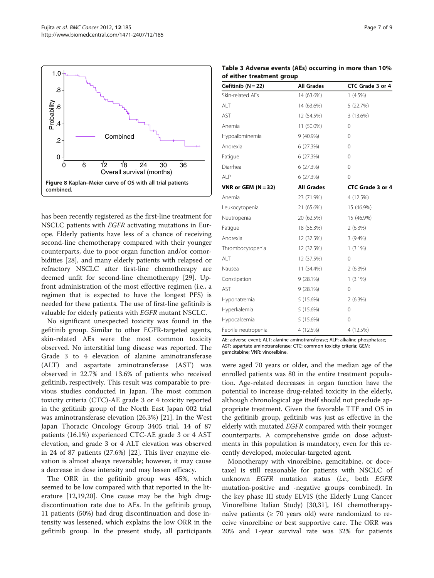<span id="page-6-0"></span>

has been recently registered as the first-line treatment for NSCLC patients with EGFR activating mutations in Europe. Elderly patients have less of a chance of receiving second-line chemotherapy compared with their younger counterparts, due to poor organ function and/or comorbidities [[28\]](#page-8-0), and many elderly patients with relapsed or refractory NSCLC after first-line chemotherapy are deemed unfit for second-line chemotherapy [\[29\]](#page-8-0). Upfront administration of the most effective regimen (i.e., a regimen that is expected to have the longest PFS) is needed for these patients. The use of first-line gefitinib is valuable for elderly patients with EGFR mutant NSCLC.

No significant unexpected toxicity was found in the gefitinib group. Similar to other EGFR-targeted agents, skin-related AEs were the most common toxicity observed. No interstitial lung disease was reported. The Grade 3 to 4 elevation of alanine aminotransferase (ALT) and aspartate aminotransferase (AST) was observed in 22.7% and 13.6% of patients who received gefitinib, respectively. This result was comparable to previous studies conducted in Japan. The most common toxicity criteria (CTC)-AE grade 3 or 4 toxicity reported in the gefitinib group of the North East Japan 002 trial was aminotransferase elevation (26.3%) [\[21](#page-8-0)]. In the West Japan Thoracic Oncology Group 3405 trial, 14 of 87 patients (16.1%) experienced CTC-AE grade 3 or 4 AST elevation, and grade 3 or 4 ALT elevation was observed in 24 of 87 patients (27.6%) [\[22](#page-8-0)]. This liver enzyme elevation is almost always reversible; however, it may cause a decrease in dose intensity and may lessen efficacy.

The ORR in the gefitinib group was 45%, which seemed to be low compared with that reported in the literature [\[12,19,20\]](#page-8-0). One cause may be the high drugdiscontinuation rate due to AEs. In the gefitinib group, 11 patients (50%) had drug discontinuation and dose intensity was lessened, which explains the low ORR in the gefitinib group. In the present study, all participants

| Gefitinib $(N = 22)$  | <b>All Grades</b> | CTC Grade 3 or 4 |
|-----------------------|-------------------|------------------|
| Skin-related AEs      | 14 (63.6%)        | $1(4.5\%)$       |
| ALT                   | 14 (63.6%)        | 5 (22.7%)        |
| AST                   | 12 (54.5%)        | 3 (13.6%)        |
| Anemia                | 11 (50.0%)        | 0                |
| Hypoalbminemia        | $9(40.9\%)$       | $\Omega$         |
| Anorexia              | 6(27.3%)          | 0                |
| Fatigue               | 6(27.3%)          | 0                |
| Diarrhea              | 6(27.3%)          | 0                |
| ALP                   | 6(27.3%)          | 0                |
| VNR or GEM $(N = 32)$ | <b>All Grades</b> | CTC Grade 3 or 4 |
| Anemia                | 23 (71.9%)        | 4 (12.5%)        |
| Leukocytopenia        | 21 (65.6%)        | 15 (46.9%)       |
| Neutropenia           | 20 (62.5%)        | 15 (46.9%)       |
| Fatigue               | 18 (56.3%)        | $2(6.3\%)$       |
| Anorexia              | 12 (37.5%)        | $3(9.4\%)$       |
| Thrombocytopenia      | 12 (37.5%)        | $1(3.1\%)$       |
| ALT                   | 12 (37.5%)        | 0                |
| Nausea                | 11 (34.4%)        | 2(6.3%)          |
| Constipation          | $9(28.1\%)$       | $1(3.1\%)$       |
| <b>AST</b>            | $9(28.1\%)$       | 0                |
| Hyponatremia          | $5(15.6\%)$       | $2(6.3\%)$       |
| Hyperkalemia          | 5(15.6%)          | 0                |
| Hypocalcemia          | 5(15.6%)          | 0                |
| Febrile neutropenia   | 4 (12.5%)         | 4 (12.5%)        |

AE: adverse event; ALT: alanine aminotransferase; ALP: alkaline phosphatase; AST: aspartate aminotransferase; CTC: common toxicity criteria; GEM: gemcitabine; VNR: vinorelbine.

were aged 70 years or older, and the median age of the enrolled patients was 80 in the entire treatment population. Age-related decreases in organ function have the potential to increase drug-related toxicity in the elderly, although chronological age itself should not preclude appropriate treatment. Given the favorable TTF and OS in the gefitinib group, gefitinib was just as effective in the elderly with mutated EGFR compared with their younger counterparts. A comprehensive guide on dose adjustments in this population is mandatory, even for this recently developed, molecular-targeted agent.

Monotherapy with vinorelbine, gemcitabine, or docetaxel is still reasonable for patients with NSCLC of unknown *EGFR* mutation status (*i.e.*, both *EGFR* mutation-positive and -negative groups combined). In the key phase III study ELVIS (the Elderly Lung Cancer Vinorelbine Italian Study) [\[30,31](#page-8-0)], 161 chemotherapynaïve patients ( $\geq 70$  years old) were randomized to receive vinorelbine or best supportive care. The ORR was 20% and 1-year survival rate was 32% for patients

Table 3 Adverse events (AEs) occurring in more than 10% of either treatment group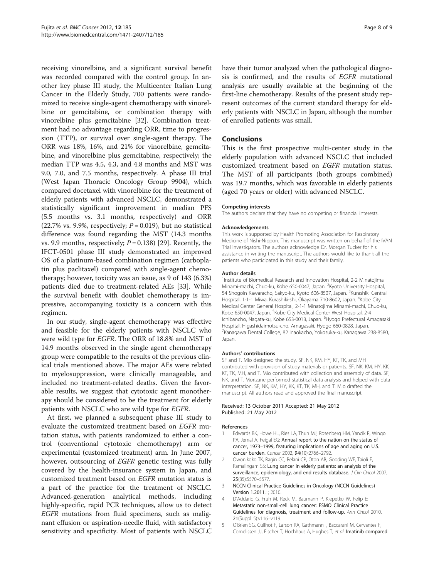<span id="page-7-0"></span>receiving vinorelbine, and a significant survival benefit was recorded compared with the control group. In another key phase III study, the Multicenter Italian Lung Cancer in the Elderly Study, 700 patients were randomized to receive single-agent chemotherapy with vinorelbine or gemcitabine, or combination therapy with vinorelbine plus gemcitabine [\[32](#page-8-0)]. Combination treatment had no advantage regarding ORR, time to progression (TTP), or survival over single-agent therapy. The ORR was 18%, 16%, and 21% for vinorelbine, gemcitabine, and vinorelbine plus gemcitabine, respectively; the median TTP was 4.5, 4.3, and 4.8 months and MST was 9.0, 7.0, and 7.5 months, respectively. A phase III trial (West Japan Thoracic Oncology Group 9904), which compared docetaxel with vinorelbine for the treatment of elderly patients with advanced NSCLC, demonstrated a statistically significant improvement in median PFS (5.5 months vs. 3.1 months, respectively) and ORR (22.7% vs. 9.9%, respectively;  $P = 0.019$ ), but no statistical difference was found regarding the MST (14.3 months vs. 9.9 months, respectively;  $P = 0.138$  [[29](#page-8-0)]. Recently, the IFCT-0501 phase III study demonstrated an improved OS of a platinum-based combination regimen (carboplatin plus paclitaxel) compared with single-agent chemotherapy; however, toxicity was an issue, as 9 of 143 (6.3%) patients died due to treatment-related AEs [\[33](#page-8-0)]. While the survival benefit with doublet chemotherapy is impressive, accompanying toxicity is a concern with this regimen.

In our study, single-agent chemotherapy was effective and feasible for the elderly patients with NSCLC who were wild type for EGFR. The ORR of 18.8% and MST of 14.9 months observed in the single agent chemotherapy group were compatible to the results of the previous clinical trials mentioned above. The major AEs were related to myelosuppression, were clinically manageable, and included no treatment-related deaths. Given the favorable results, we suggest that cytotoxic agent monotherapy should be considered to be the treatment for elderly patients with NSCLC who are wild type for EGFR.

At first, we planned a subsequent phase III study to evaluate the customized treatment based on EGFR mutation status, with patients randomized to either a control (conventional cytotoxic chemotherapy) arm or experimental (customized treatment) arm. In June 2007, however, outsourcing of EGFR genetic testing was fully covered by the health-insurance system in Japan, and customized treatment based on EGFR mutation status is a part of the practice for the treatment of NSCLC. Advanced-generation analytical methods, including highly-specific, rapid PCR techniques, allow us to detect EGFR mutations from fluid specimens, such as malignant effusion or aspiration-needle fluid, with satisfactory sensitivity and specificity. Most of patients with NSCLC have their tumor analyzed when the pathological diagnosis is confirmed, and the results of EGFR mutational analysis are usually available at the beginning of the first-line chemotherapy. Results of the present study represent outcomes of the current standard therapy for elderly patients with NSCLC in Japan, although the number of enrolled patients was small.

#### Conclusions

This is the first prospective multi-center study in the elderly population with advanced NSCLC that included customized treatment based on EGFR mutation status. The MST of all participants (both groups combined) was 19.7 months, which was favorable in elderly patients (aged 70 years or older) with advanced NSCLC.

#### Competing interests

The authors declare that they have no competing or financial interests.

#### Acknowledgements

This work is supported by Health Promoting Association for Respiratory Medicine of Nishi-Nippon. This manuscript was written on behalf of the IVAN Trial investigators. The authors acknowledge Dr. Morgan Tucker for his assistance in writing the manuscript. The authors would like to thank all the patients who participated in this study and their family.

#### Author details

<sup>1</sup>Institute of Biomedical Research and Innovation Hospital, 2-2 Minatojima Minami-machi, Chuo-ku, Kobe 650-0047, Japan. <sup>2</sup>Kyoto University Hospital 54 Shogoin Kawaracho, Sakyo-ku, Kyoto 606-8507, Japan. <sup>3</sup>Kurashiki Central Hospital, 1-1-1 Miwa, Kurashiki-shi, Okayama 710-8602, Japan. <sup>4</sup>Kobe City Medical Center General Hospital, 2-1-1 Minatojima Minami-machi, Chuo-ku, Kobe 650-0047, Japan. <sup>5</sup>Kobe City Medical Center West Hospital, 2-4 Ichibancho, Nagata-ku, Kobe 653-0013, Japan. <sup>6</sup>Hyogo Prefectural Amagasaki Hospital, Higashidaimotsu-cho, Amagasaki, Hyogo 660-0828, Japan. 7 Kanagawa Dental College, 82 Inaokacho, Yokosuka-ku, Kanagawa 238-8580, Japan.

#### Authors' contributions

SF and T. Mio designed the study. SF, NK, KM, HY, KT, TK, and MH contributed with provision of study materials or patients. SF, NK, KM, HY, KK, KT, TK, MH, and T. Mio contributed with collection and assembly of data. SF, NK, and T. Morizane performed statistical data analysis and helped with data interpretation. SF, NK, KM, HY, KK, KT, TK, MH, and T. Mio drafted the manuscript. All authors read and approved the final manuscript.

#### Received: 13 October 2011 Accepted: 21 May 2012 Published: 21 May 2012

#### References

- 1. Edwards BK, Howe HL, Ries LA, Thun MJ, Rosenberg HM, Yancik R, Wingo PA, Jemal A, Feigal EG: Annual report to the nation on the status of cancer, 1973–1999, featuring implications of age and aging on U.S. cancer burden. Cancer 2002, 94(10):2766–2792.
- 2. Owonikoko TK, Ragin CC, Belani CP, Oton AB, Gooding WE, Taioli E, Ramalingam SS: Lung cancer in elderly patients: an analysis of the surveillance, epidemiology, and end results database. J Clin Oncol 2007, 25(35):5570–5577.
- 3. NCCN Clinical Practice Guidelines in Oncology (NCCN Guidelines) Version 1.2011.: ; 2010.
- 4. D'Addario G, Fruh M, Reck M, Baumann P, Klepetko W, Felip E: Metastatic non-small-cell lung cancer: ESMO Clinical Practice Guidelines for diagnosis, treatment and follow-up. Ann Oncol 2010, 21(Suppl 5):v116–v119.
- 5. O'Brien SG, Guilhot F, Larson RA, Gathmann I, Baccarani M, Cervantes F, Cornelissen JJ, Fischer T, Hochhaus A, Hughes T, et al: Imatinib compared